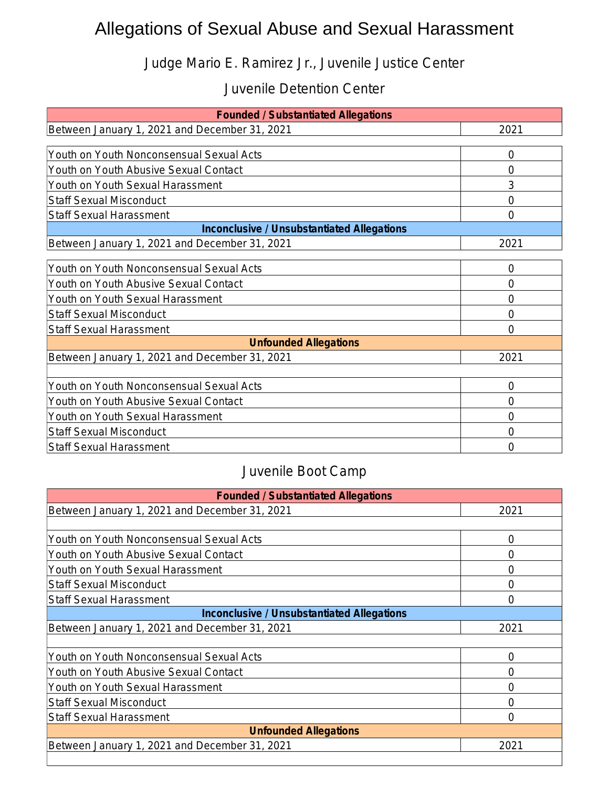## Allegations of Sexual Abuse and Sexual Harassment

Judge Mario E. Ramirez Jr., Juvenile Justice Center

## Juvenile Detention Center

| <b>Founded / Substantiated Allegations</b>        |      |  |
|---------------------------------------------------|------|--|
| Between January 1, 2021 and December 31, 2021     | 2021 |  |
|                                                   |      |  |
| Youth on Youth Nonconsensual Sexual Acts          | 0    |  |
| Youth on Youth Abusive Sexual Contact             | 0    |  |
| Youth on Youth Sexual Harassment                  | 3    |  |
| <b>Staff Sexual Misconduct</b>                    | 0    |  |
| <b>Staff Sexual Harassment</b>                    | 0    |  |
| <b>Inconclusive / Unsubstantiated Allegations</b> |      |  |
| Between January 1, 2021 and December 31, 2021     | 2021 |  |
|                                                   |      |  |
| Youth on Youth Nonconsensual Sexual Acts          | 0    |  |
| Youth on Youth Abusive Sexual Contact             | 0    |  |
| Youth on Youth Sexual Harassment                  | 0    |  |
| <b>Staff Sexual Misconduct</b>                    | 0    |  |
| <b>Staff Sexual Harassment</b>                    | 0    |  |
| <b>Unfounded Allegations</b>                      |      |  |
| Between January 1, 2021 and December 31, 2021     | 2021 |  |
|                                                   |      |  |
| Youth on Youth Nonconsensual Sexual Acts          | 0    |  |
| Youth on Youth Abusive Sexual Contact             | Ω    |  |
| Youth on Youth Sexual Harassment                  | 0    |  |
| <b>Staff Sexual Misconduct</b>                    | 0    |  |
| <b>Staff Sexual Harassment</b>                    | Ω    |  |

## Juvenile Boot Camp

| <b>Founded / Substantiated Allegations</b>        |                  |
|---------------------------------------------------|------------------|
| Between January 1, 2021 and December 31, 2021     | 2021             |
|                                                   |                  |
| Youth on Youth Nonconsensual Sexual Acts          | 0                |
| Youth on Youth Abusive Sexual Contact             | $\left( \right)$ |
| Youth on Youth Sexual Harassment                  | $\left( \right)$ |
| <b>Staff Sexual Misconduct</b>                    | 0                |
| <b>Staff Sexual Harassment</b>                    | 0                |
| <b>Inconclusive / Unsubstantiated Allegations</b> |                  |
| Between January 1, 2021 and December 31, 2021     | 2021             |
|                                                   |                  |
| Youth on Youth Nonconsensual Sexual Acts          | 0                |
| Youth on Youth Abusive Sexual Contact             | O                |
| Youth on Youth Sexual Harassment                  | 0                |
| <b>Staff Sexual Misconduct</b>                    | 0                |
| Staff Sexual Harassment                           | O                |
| <b>Unfounded Allegations</b>                      |                  |
| Between January 1, 2021 and December 31, 2021     | 2021             |
|                                                   |                  |